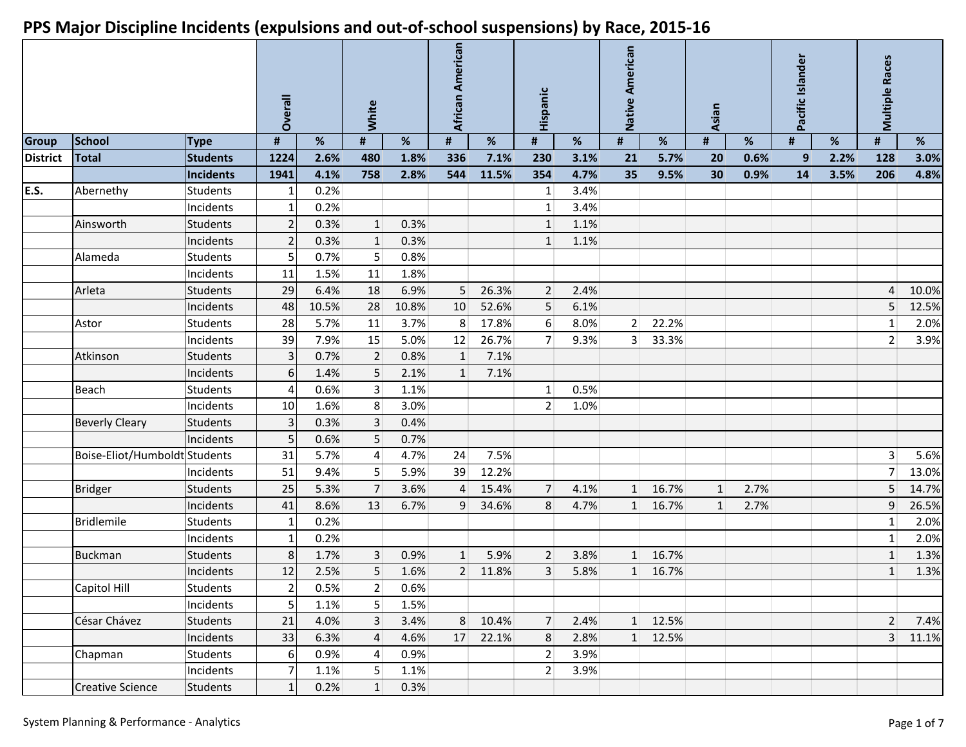|                 |                               |                 | Overall |       | White<br>$\pmb{\sharp}$<br>% |       | African American |       | Hispanic       |      | Native American |       | Asian |      | Pacific Islander |      | <b>Multiple Races</b> |       |
|-----------------|-------------------------------|-----------------|---------|-------|------------------------------|-------|------------------|-------|----------------|------|-----------------|-------|-------|------|------------------|------|-----------------------|-------|
| <b>Group</b>    | <b>School</b>                 | <b>Type</b>     | #       | %     |                              |       | #                | %     | #              | %    | #               | %     | #     | %    | #                | %    | #                     | %     |
| <b>District</b> | <b>Total</b>                  | <b>Students</b> | 1224    | 2.6%  | 480                          | 1.8%  | 336              | 7.1%  | 230            | 3.1% | 21              | 5.7%  | 20    | 0.6% | 9                | 2.2% | 128                   | 3.0%  |
|                 |                               | Incidents       | 1941    | 4.1%  | 758                          | 2.8%  | 544              | 11.5% | 354            | 4.7% | 35              | 9.5%  | 30    | 0.9% | 14               | 3.5% | 206                   | 4.8%  |
| E.S.            | Abernethy                     | <b>Students</b> |         | 0.2%  |                              |       |                  |       | 1              | 3.4% |                 |       |       |      |                  |      |                       |       |
|                 |                               | Incidents       |         | 0.2%  |                              |       |                  |       | $\mathbf{1}$   | 3.4% |                 |       |       |      |                  |      |                       |       |
|                 | Ainsworth                     | <b>Students</b> |         | 0.3%  | 1                            | 0.3%  |                  |       | $\mathbf{1}$   | 1.1% |                 |       |       |      |                  |      |                       |       |
|                 |                               | Incidents       | 2       | 0.3%  | $\mathbf{1}$                 | 0.3%  |                  |       | $\mathbf{1}$   | 1.1% |                 |       |       |      |                  |      |                       |       |
|                 | Alameda                       | <b>Students</b> |         | 0.7%  | 5                            | 0.8%  |                  |       |                |      |                 |       |       |      |                  |      |                       |       |
|                 |                               | Incidents       | 11      | 1.5%  | 11                           | 1.8%  |                  |       |                |      |                 |       |       |      |                  |      |                       |       |
|                 | Arleta                        | <b>Students</b> | 29      | 6.4%  | 18                           | 6.9%  | 5                | 26.3% | $\overline{2}$ | 2.4% |                 |       |       |      |                  |      | $\overline{4}$        | 10.0% |
|                 |                               | Incidents       | 48      | 10.5% | 28                           | 10.8% | 10               | 52.6% | 5              | 6.1% |                 |       |       |      |                  |      | 5                     | 12.5% |
|                 | Astor                         | <b>Students</b> | 28      | 5.7%  | 11                           | 3.7%  | 8                | 17.8% | 6              | 8.0% | 2               | 22.2% |       |      |                  |      | $\mathbf{1}$          | 2.0%  |
|                 |                               | Incidents       | 39      | 7.9%  | 15                           | 5.0%  | 12               | 26.7% | 7 <sup>1</sup> | 9.3% | 3 <sup>1</sup>  | 33.3% |       |      |                  |      | $\overline{2}$        | 3.9%  |
|                 | Atkinson                      | <b>Students</b> | 3       | 0.7%  | $\overline{2}$               | 0.8%  | $\mathbf{1}$     | 7.1%  |                |      |                 |       |       |      |                  |      |                       |       |
|                 |                               | Incidents       | 6       | 1.4%  | 5                            | 2.1%  | $\mathbf{1}$     | 7.1%  |                |      |                 |       |       |      |                  |      |                       |       |
|                 | Beach                         | <b>Students</b> |         | 0.6%  | $\overline{3}$               | 1.1%  |                  |       | 1              | 0.5% |                 |       |       |      |                  |      |                       |       |
|                 |                               | Incidents       | 10      | 1.6%  | 8 <sup>1</sup>               | 3.0%  |                  |       | $\overline{2}$ | 1.0% |                 |       |       |      |                  |      |                       |       |
|                 | <b>Beverly Cleary</b>         | <b>Students</b> | 3       | 0.3%  | $\overline{3}$               | 0.4%  |                  |       |                |      |                 |       |       |      |                  |      |                       |       |
|                 |                               | Incidents       | 5       | 0.6%  | 5                            | 0.7%  |                  |       |                |      |                 |       |       |      |                  |      |                       |       |
|                 | Boise-Eliot/Humboldt Students |                 | 31      | 5.7%  | 4                            | 4.7%  | 24               | 7.5%  |                |      |                 |       |       |      |                  |      | $\overline{3}$        | 5.6%  |
|                 |                               | Incidents       | 51      | 9.4%  | 5 <sup>1</sup>               | 5.9%  | 39               | 12.2% |                |      |                 |       |       |      |                  |      | $\overline{7}$        | 13.0% |
|                 | <b>Bridger</b>                | <b>Students</b> | 25      | 5.3%  | $\overline{7}$               | 3.6%  | $\Delta$         | 15.4% | $\overline{7}$ | 4.1% | $\mathbf{1}$    | 16.7% | 1     | 2.7% |                  |      | 5                     | 14.7% |
|                 |                               | Incidents       | 41      | 8.6%  | 13                           | 6.7%  | 9                | 34.6% | 8              | 4.7% | $\mathbf{1}$    | 16.7% | 1     | 2.7% |                  |      | $\boldsymbol{9}$      | 26.5% |
|                 | Bridlemile                    | <b>Students</b> |         | 0.2%  |                              |       |                  |       |                |      |                 |       |       |      |                  |      | $\mathbf{1}$          | 2.0%  |
|                 |                               | Incidents       |         | 0.2%  |                              |       |                  |       |                |      |                 |       |       |      |                  |      | $\mathbf 1$           | 2.0%  |
|                 | <b>Buckman</b>                | <b>Students</b> | 8       | 1.7%  | $\overline{3}$               | 0.9%  | $\mathbf{1}$     | 5.9%  | $\overline{2}$ | 3.8% | 1               | 16.7% |       |      |                  |      | $\mathbf{1}$          | 1.3%  |
|                 |                               | Incidents       | 12      | 2.5%  | 5                            | 1.6%  | 2                | 11.8% | 3              | 5.8% | 1               | 16.7% |       |      |                  |      | $\mathbf{1}$          | 1.3%  |
|                 | Capitol Hill                  | <b>Students</b> | 2       | 0.5%  | $\overline{2}$               | 0.6%  |                  |       |                |      |                 |       |       |      |                  |      |                       |       |
|                 |                               | Incidents       | 5       | 1.1%  | 5 <sup>1</sup>               | 1.5%  |                  |       |                |      |                 |       |       |      |                  |      |                       |       |
|                 | César Chávez                  | Students        | 21      | 4.0%  | 3 <sup>1</sup>               | 3.4%  | 8                | 10.4% | $\overline{7}$ | 2.4% | $\mathbf{1}$    | 12.5% |       |      |                  |      | 2                     | 7.4%  |
|                 |                               | Incidents       | 33      | 6.3%  | $\overline{4}$               | 4.6%  | 17               | 22.1% | $\,8\,$        | 2.8% | $\mathbf{1}$    | 12.5% |       |      |                  |      | $\overline{3}$        | 11.1% |
|                 | Chapman                       | <b>Students</b> | 6       | 0.9%  | $\vert 4 \vert$              | 0.9%  |                  |       | 2              | 3.9% |                 |       |       |      |                  |      |                       |       |
|                 |                               | Incidents       |         | 1.1%  | 5 <sup>1</sup>               | 1.1%  |                  |       | 2              | 3.9% |                 |       |       |      |                  |      |                       |       |
|                 | <b>Creative Science</b>       | <b>Students</b> |         | 0.2%  | $\vert$ 1                    | 0.3%  |                  |       |                |      |                 |       |       |      |                  |      |                       |       |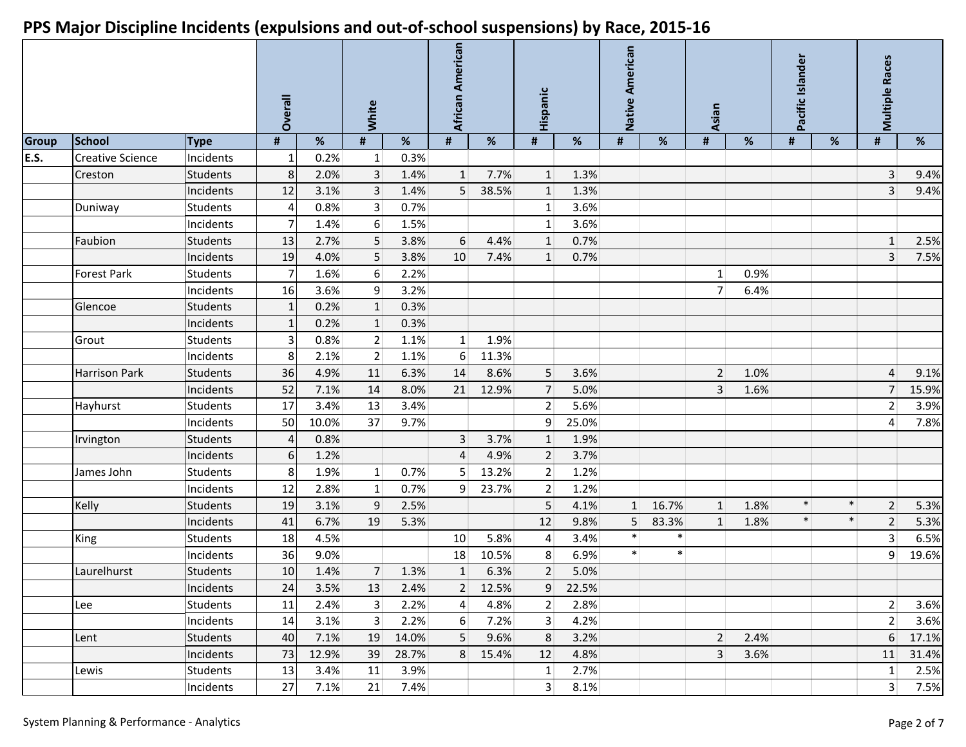|              |                         |                 | Overall        |       | White           |       | African American |       | Hispanic       |       | Native American |        | Asian           |      | Pacific Islander |        | <b>Multiple Races</b> |       |
|--------------|-------------------------|-----------------|----------------|-------|-----------------|-------|------------------|-------|----------------|-------|-----------------|--------|-----------------|------|------------------|--------|-----------------------|-------|
| <b>Group</b> | <b>School</b>           | <b>Type</b>     | #              | %     | #               | %     | $\pmb{\sharp}$   | %     | #              | %     | #               | %      | #               | %    | #                | %      | #                     | %     |
| E.S.         | <b>Creative Science</b> | Incidents       | 1              | 0.2%  | $1\vert$        | 0.3%  |                  |       |                |       |                 |        |                 |      |                  |        |                       |       |
|              | Creston                 | <b>Students</b> | 8 <sup>1</sup> | 2.0%  | 3 <sup>1</sup>  | 1.4%  | $\vert$ 1        | 7.7%  | $\vert$ 1      | 1.3%  |                 |        |                 |      |                  |        | $\overline{3}$        | 9.4%  |
|              |                         | Incidents       | 12             | 3.1%  | 3 <sup>1</sup>  | 1.4%  | 5                | 38.5% | $\mathbf{1}$   | 1.3%  |                 |        |                 |      |                  |        | 3                     | 9.4%  |
|              | Duniway                 | <b>Students</b> | 4              | 0.8%  | 3 <sup>1</sup>  | 0.7%  |                  |       | $\mathbf{1}$   | 3.6%  |                 |        |                 |      |                  |        |                       |       |
|              |                         | Incidents       | $\overline{7}$ | 1.4%  | 6               | 1.5%  |                  |       | $\mathbf{1}$   | 3.6%  |                 |        |                 |      |                  |        |                       |       |
|              | Faubion                 | <b>Students</b> | 13             | 2.7%  | 5               | 3.8%  | 6                | 4.4%  | $\mathbf{1}$   | 0.7%  |                 |        |                 |      |                  |        | $\mathbf{1}$          | 2.5%  |
|              |                         | Incidents       | 19             | 4.0%  | 5               | 3.8%  | 10               | 7.4%  | $\mathbf{1}$   | 0.7%  |                 |        |                 |      |                  |        | $\overline{3}$        | 7.5%  |
|              | <b>Forest Park</b>      | <b>Students</b> | $\overline{7}$ | 1.6%  | 6 <sup>1</sup>  | 2.2%  |                  |       |                |       |                 |        | 1               | 0.9% |                  |        |                       |       |
|              |                         | Incidents       | 16             | 3.6%  | 9 <sup>1</sup>  | 3.2%  |                  |       |                |       |                 |        | 7               | 6.4% |                  |        |                       |       |
|              | Glencoe                 | <b>Students</b> | 1              | 0.2%  | $1\overline{ }$ | 0.3%  |                  |       |                |       |                 |        |                 |      |                  |        |                       |       |
|              |                         | Incidents       |                | 0.2%  | $\mathbf{1}$    | 0.3%  |                  |       |                |       |                 |        |                 |      |                  |        |                       |       |
|              | Grout                   | Students        | $\overline{3}$ | 0.8%  | 2               | 1.1%  | 1 <sup>1</sup>   | 1.9%  |                |       |                 |        |                 |      |                  |        |                       |       |
|              |                         | Incidents       | 8              | 2.1%  | 2               | 1.1%  | 6                | 11.3% |                |       |                 |        |                 |      |                  |        |                       |       |
|              | <b>Harrison Park</b>    | <b>Students</b> | 36             | 4.9%  | 11              | 6.3%  | 14               | 8.6%  | 5 <sup>1</sup> | 3.6%  |                 |        | $\overline{2}$  | 1.0% |                  |        | $\overline{4}$        | 9.1%  |
|              |                         | Incidents       | 52             | 7.1%  | 14              | 8.0%  | 21               | 12.9% | 7              | 5.0%  |                 |        | 3               | 1.6% |                  |        | 7                     | 15.9% |
|              | Hayhurst                | <b>Students</b> | 17             | 3.4%  | 13              | 3.4%  |                  |       | $\vert$ 2      | 5.6%  |                 |        |                 |      |                  |        | $\overline{2}$        | 3.9%  |
|              |                         | Incidents       | 50             | 10.0% | 37              | 9.7%  |                  |       | 9              | 25.0% |                 |        |                 |      |                  |        | 4                     | 7.8%  |
|              | Irvington               | <b>Students</b> | $\overline{4}$ | 0.8%  |                 |       | 3                | 3.7%  | $\mathbf{1}$   | 1.9%  |                 |        |                 |      |                  |        |                       |       |
|              |                         | Incidents       | 6 <sup>1</sup> | 1.2%  |                 |       | $\overline{4}$   | 4.9%  | $\overline{2}$ | 3.7%  |                 |        |                 |      |                  |        |                       |       |
|              | James John              | <b>Students</b> | 8              | 1.9%  | 1 <sup>1</sup>  | 0.7%  | 5                | 13.2% | $\vert$ 2      | 1.2%  |                 |        |                 |      |                  |        |                       |       |
|              |                         | Incidents       | 12             | 2.8%  | 1 <sup>1</sup>  | 0.7%  | 9                | 23.7% | $\overline{2}$ | 1.2%  |                 |        |                 |      |                  |        |                       |       |
|              | Kelly                   | <b>Students</b> | 19             | 3.1%  | 9               | 2.5%  |                  |       | 5              | 4.1%  | $\mathbf{1}$    | 16.7%  | $\mathbf{1}$    | 1.8% | $\ast$           | $\ast$ | 2                     | 5.3%  |
|              |                         | Incidents       | 41             | 6.7%  | 19              | 5.3%  |                  |       | 12             | 9.8%  | 5               | 83.3%  | $1\overline{ }$ | 1.8% | $\ast$           | $\ast$ | $\overline{2}$        | 5.3%  |
|              | King                    | <b>Students</b> | 18             | 4.5%  |                 |       | 10               | 5.8%  | $\overline{4}$ | 3.4%  | $\ast$          | $\ast$ |                 |      |                  |        | $\overline{3}$        | 6.5%  |
|              |                         | Incidents       | 36             | 9.0%  |                 |       | 18               | 10.5% | 8              | 6.9%  | $\ast$          | $\ast$ |                 |      |                  |        | 9                     | 19.6% |
|              | Laurelhurst             | <b>Students</b> | 10             | 1.4%  | 7 <sup>1</sup>  | 1.3%  | $\mathbf{1}$     | 6.3%  | $\overline{2}$ | 5.0%  |                 |        |                 |      |                  |        |                       |       |
|              |                         | Incidents       | 24             | 3.5%  | 13              | 2.4%  | 2 <sup>2</sup>   | 12.5% | 9              | 22.5% |                 |        |                 |      |                  |        |                       |       |
|              | Lee                     | <b>Students</b> | 11             | 2.4%  | 3 <sup>1</sup>  | 2.2%  | $\vert 4 \vert$  | 4.8%  | 2              | 2.8%  |                 |        |                 |      |                  |        | 2                     | 3.6%  |
|              |                         | Incidents       | 14             | 3.1%  | 3 <sup>1</sup>  | 2.2%  | $6 \mid$         | 7.2%  | $\overline{3}$ | 4.2%  |                 |        |                 |      |                  |        | 2                     | 3.6%  |
|              | Lent                    | <b>Students</b> | 40             | 7.1%  | 19              | 14.0% | 5                | 9.6%  | 8              | 3.2%  |                 |        | $\overline{2}$  | 2.4% |                  |        | $6\,$                 | 17.1% |
|              |                         | Incidents       | 73             | 12.9% | 39              | 28.7% | 8                | 15.4% | 12             | 4.8%  |                 |        | $\overline{3}$  | 3.6% |                  |        | 11                    | 31.4% |
|              | Lewis                   | Students        | 13             | 3.4%  | 11              | 3.9%  |                  |       | $\mathbf{1}$   | 2.7%  |                 |        |                 |      |                  |        | $\mathbf{1}$          | 2.5%  |
|              |                         | Incidents       | 27             | 7.1%  | 21              | 7.4%  |                  |       | 3 <sup>2</sup> | 8.1%  |                 |        |                 |      |                  |        | 3 <sup>1</sup>        | 7.5%  |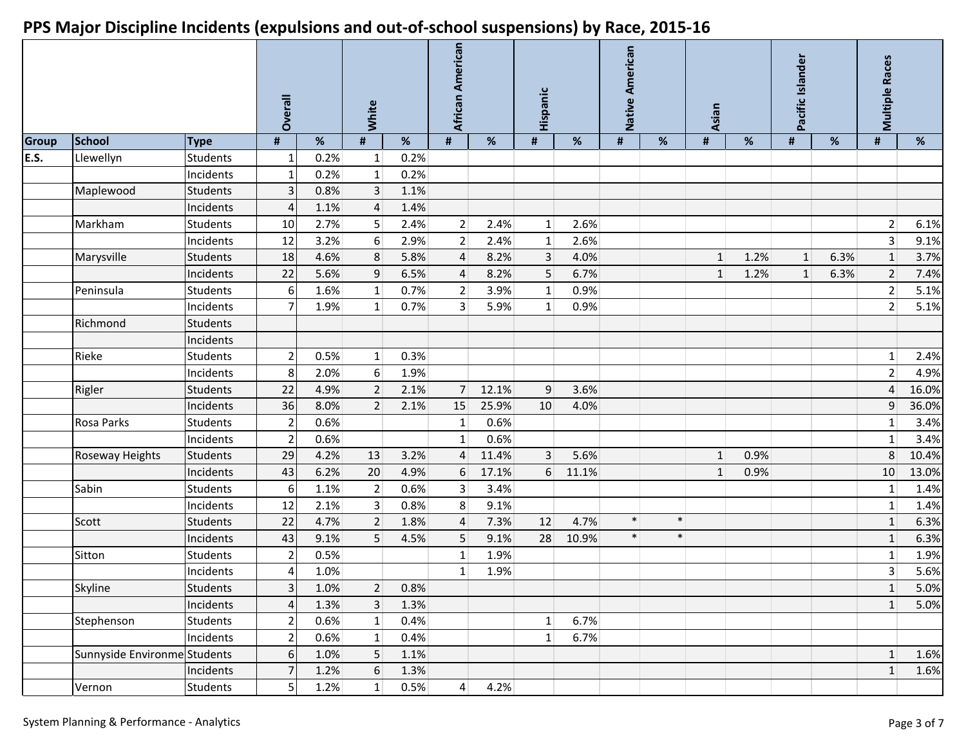|              |                              |                 | Overall                  |      | White          |      | African American |       | Hispanic        |       | Native American |        | Asian        |      | Pacific Islander |      | <b>Multiple Races</b> |       |
|--------------|------------------------------|-----------------|--------------------------|------|----------------|------|------------------|-------|-----------------|-------|-----------------|--------|--------------|------|------------------|------|-----------------------|-------|
| <b>Group</b> | School                       | <b>Type</b>     | #                        | %    | #              | %    | $\pmb{\sharp}$   | %     | #               | %     | #               | %      | #            | %    | #                | %    | #                     | %     |
| E.S.         | Llewellyn                    | <b>Students</b> |                          | 0.2% | $1\vert$       | 0.2% |                  |       |                 |       |                 |        |              |      |                  |      |                       |       |
|              |                              | Incidents       | 1                        | 0.2% | 1              | 0.2% |                  |       |                 |       |                 |        |              |      |                  |      |                       |       |
|              | Maplewood                    | <b>Students</b> |                          | 0.8% | 3 <sup>1</sup> | 1.1% |                  |       |                 |       |                 |        |              |      |                  |      |                       |       |
|              |                              | Incidents       | Δ                        | 1.1% | $\overline{4}$ | 1.4% |                  |       |                 |       |                 |        |              |      |                  |      |                       |       |
|              | Markham                      | <b>Students</b> | 10                       | 2.7% | 5 <sup>1</sup> | 2.4% | 2                | 2.4%  | $\mathbf{1}$    | 2.6%  |                 |        |              |      |                  |      | $\overline{2}$        | 6.1%  |
|              |                              | Incidents       | 12                       | 3.2% | 6              | 2.9% | $\overline{2}$   | 2.4%  | 1               | 2.6%  |                 |        |              |      |                  |      | $\overline{3}$        | 9.1%  |
|              | Marysville                   | <b>Students</b> | 18                       | 4.6% | 8              | 5.8% | $\overline{4}$   | 8.2%  | $\overline{3}$  | 4.0%  |                 |        | 1            | 1.2% | $\mathbf{1}$     | 6.3% | $\mathbf{1}$          | 3.7%  |
|              |                              | Incidents       | 22                       | 5.6% | 9              | 6.5% | 4                | 8.2%  | $5\phantom{.0}$ | 6.7%  |                 |        | $\mathbf{1}$ | 1.2% | $\mathbf{1}$     | 6.3% | $\overline{2}$        | 7.4%  |
|              | Peninsula                    | <b>Students</b> | 6                        | 1.6% | 1              | 0.7% | $\overline{2}$   | 3.9%  | $\mathbf{1}$    | 0.9%  |                 |        |              |      |                  |      | $\overline{2}$        | 5.1%  |
|              |                              | Incidents       |                          | 1.9% | 1 <sup>1</sup> | 0.7% | 3                | 5.9%  | $\mathbf{1}$    | 0.9%  |                 |        |              |      |                  |      | $\overline{2}$        | 5.1%  |
|              | Richmond                     | <b>Students</b> |                          |      |                |      |                  |       |                 |       |                 |        |              |      |                  |      |                       |       |
|              |                              | Incidents       |                          |      |                |      |                  |       |                 |       |                 |        |              |      |                  |      |                       |       |
|              | Rieke                        | <b>Students</b> | 2                        | 0.5% | 1 <sup>1</sup> | 0.3% |                  |       |                 |       |                 |        |              |      |                  |      | $1\,$                 | 2.4%  |
|              |                              | Incidents       | 8                        | 2.0% | 6              | 1.9% |                  |       |                 |       |                 |        |              |      |                  |      | $\overline{2}$        | 4.9%  |
|              | Rigler                       | <b>Students</b> | 22                       | 4.9% | $\overline{2}$ | 2.1% | $\overline{7}$   | 12.1% | 9               | 3.6%  |                 |        |              |      |                  |      | $\sqrt{4}$            | 16.0% |
|              |                              | Incidents       | 36                       | 8.0% | 2 <sup>1</sup> | 2.1% | 15               | 25.9% | 10              | 4.0%  |                 |        |              |      |                  |      | 9                     | 36.0% |
|              | Rosa Parks                   | <b>Students</b> | $\overline{\phantom{a}}$ | 0.6% |                |      | $\mathbf{1}$     | 0.6%  |                 |       |                 |        |              |      |                  |      | $1\,$                 | 3.4%  |
|              |                              | Incidents       | $\overline{2}$           | 0.6% |                |      | $\mathbf{1}$     | 0.6%  |                 |       |                 |        |              |      |                  |      | $1\,$                 | 3.4%  |
|              | Roseway Heights              | <b>Students</b> | 29                       | 4.2% | 13             | 3.2% | $\overline{A}$   | 11.4% | $\overline{3}$  | 5.6%  |                 |        | 1            | 0.9% |                  |      | $\,8\,$               | 10.4% |
|              |                              | Incidents       | 43                       | 6.2% | 20             | 4.9% | 6                | 17.1% | 6               | 11.1% |                 |        | $\mathbf{1}$ | 0.9% |                  |      | 10                    | 13.0% |
|              | Sabin                        | <b>Students</b> | 6                        | 1.1% | $\overline{2}$ | 0.6% | 3                | 3.4%  |                 |       |                 |        |              |      |                  |      | $1\,$                 | 1.4%  |
|              |                              | Incidents       | 12                       | 2.1% | $\overline{3}$ | 0.8% | 8                | 9.1%  |                 |       |                 |        |              |      |                  |      | $\mathbf 1$           | 1.4%  |
|              | Scott                        | <b>Students</b> | 22                       | 4.7% | $\overline{2}$ | 1.8% | 4                | 7.3%  | 12              | 4.7%  | $\ast$          | $\ast$ |              |      |                  |      | $\mathbf{1}$          | 6.3%  |
|              |                              | Incidents       | 43                       | 9.1% | 5 <sup>1</sup> | 4.5% | 5                | 9.1%  | 28              | 10.9% | $\ast$          | $\ast$ |              |      |                  |      | $\mathbf 1$           | 6.3%  |
|              | Sitton                       | <b>Students</b> | 2                        | 0.5% |                |      | 1                | 1.9%  |                 |       |                 |        |              |      |                  |      | $1\,$                 | 1.9%  |
|              |                              | Incidents       | Δ                        | 1.0% |                |      | 1                | 1.9%  |                 |       |                 |        |              |      |                  |      | $\overline{3}$        | 5.6%  |
|              | Skyline                      | <b>Students</b> | $\vert$ 3                | 1.0% | $\overline{2}$ | 0.8% |                  |       |                 |       |                 |        |              |      |                  |      | $\mathbf{1}$          | 5.0%  |
|              |                              | Incidents       | $\Lambda$                | 1.3% | 3 <sup>1</sup> | 1.3% |                  |       |                 |       |                 |        |              |      |                  |      | $\vert$ 1             | 5.0%  |
|              | Stephenson                   | Students        | 2                        | 0.6% | 1              | 0.4% |                  |       | $\mathbf 1$     | 6.7%  |                 |        |              |      |                  |      |                       |       |
|              |                              | Incidents       | 2                        | 0.6% | 1              | 0.4% |                  |       | $\mathbf 1$     | 6.7%  |                 |        |              |      |                  |      |                       |       |
|              | Sunnyside Environme Students |                 | 6                        | 1.0% | 5              | 1.1% |                  |       |                 |       |                 |        |              |      |                  |      | $\mathbf{1}$          | 1.6%  |
|              |                              | Incidents       |                          | 1.2% | $6\,$          | 1.3% |                  |       |                 |       |                 |        |              |      |                  |      | $\mathbf 1$           | 1.6%  |
|              | Vernon                       | Students        | $\mathsf{5}$             | 1.2% | $1\vert$       | 0.5% | $\vert 4 \vert$  | 4.2%  |                 |       |                 |        |              |      |                  |      |                       |       |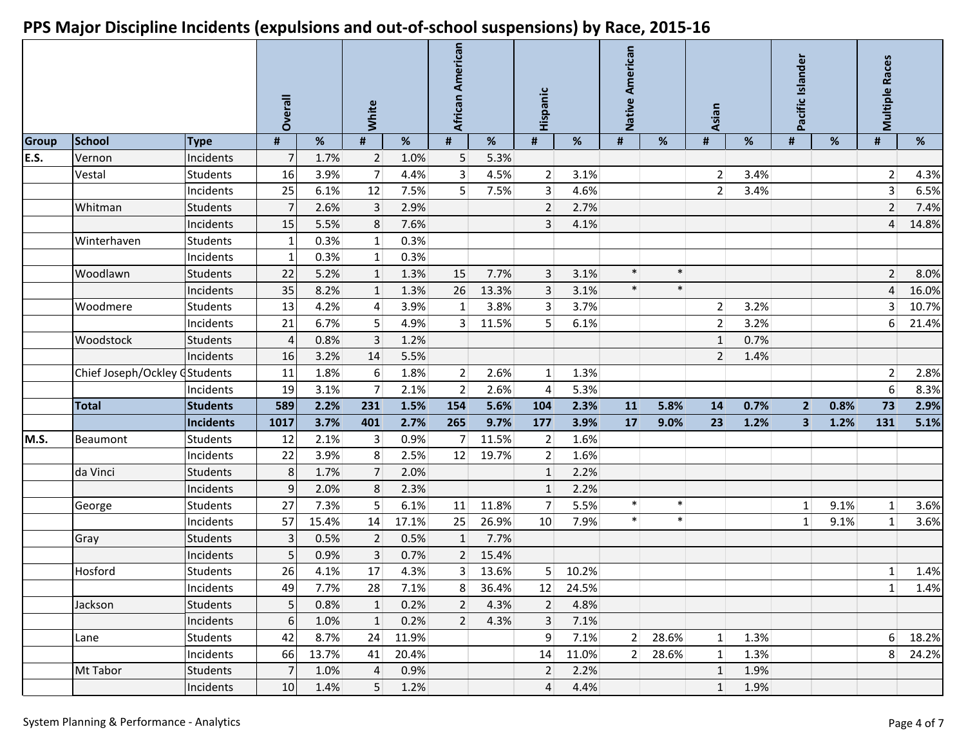|       |                               |                 | Overall        |       | White           |       | African American |       | Hispanic          |       | Native American |        | Asian          |      | Pacific Islander |      | <b>Multiple Races</b> |       |
|-------|-------------------------------|-----------------|----------------|-------|-----------------|-------|------------------|-------|-------------------|-------|-----------------|--------|----------------|------|------------------|------|-----------------------|-------|
| Group | <b>School</b>                 | <b>Type</b>     | #              | %     | #               | %     | #                | %     | #                 | %     | #               | %      | #              | %    | #                | %    | #                     | %     |
| E.S.  | Vernon                        | Incidents       | $\overline{7}$ | 1.7%  | $\overline{2}$  | 1.0%  | $5\overline{)}$  | 5.3%  |                   |       |                 |        |                |      |                  |      |                       |       |
|       | Vestal                        | <b>Students</b> | 16             | 3.9%  | $\overline{7}$  | 4.4%  | $\overline{3}$   | 4.5%  | $\vert$ 2         | 3.1%  |                 |        | $\overline{2}$ | 3.4% |                  |      | $\overline{2}$        | 4.3%  |
|       |                               | Incidents       | 25             | 6.1%  | 12              | 7.5%  | 5                | 7.5%  | 3 <sup>1</sup>    | 4.6%  |                 |        | $\overline{2}$ | 3.4% |                  |      | $\overline{3}$        | 6.5%  |
|       | Whitman                       | <b>Students</b> | 7              | 2.6%  | $\overline{3}$  | 2.9%  |                  |       | $\overline{2}$    | 2.7%  |                 |        |                |      |                  |      | $\overline{2}$        | 7.4%  |
|       |                               | Incidents       | 15             | 5.5%  | 8 <sup>1</sup>  | 7.6%  |                  |       | 3                 | 4.1%  |                 |        |                |      |                  |      | $\overline{4}$        | 14.8% |
|       | Winterhaven                   | <b>Students</b> | 1              | 0.3%  | 1 <sup>1</sup>  | 0.3%  |                  |       |                   |       |                 |        |                |      |                  |      |                       |       |
|       |                               | Incidents       |                | 0.3%  | $1\vert$        | 0.3%  |                  |       |                   |       |                 |        |                |      |                  |      |                       |       |
|       | Woodlawn                      | <b>Students</b> | 22             | 5.2%  | $1\vert$        | 1.3%  | 15               | 7.7%  | 3                 | 3.1%  | $\ast$          | $\ast$ |                |      |                  |      | $\overline{2}$        | 8.0%  |
|       |                               | Incidents       | 35             | 8.2%  | $1\overline{ }$ | 1.3%  | 26               | 13.3% | $\overline{3}$    | 3.1%  | $\ast$          | $\ast$ |                |      |                  |      | $\overline{4}$        | 16.0% |
|       | Woodmere                      | <b>Students</b> | 13             | 4.2%  | $\vert 4 \vert$ | 3.9%  | $\mathbf{1}$     | 3.8%  | 3 <sup>1</sup>    | 3.7%  |                 |        | $\overline{2}$ | 3.2% |                  |      | $\overline{3}$        | 10.7% |
|       |                               | Incidents       | 21             | 6.7%  | 5 <sup>2</sup>  | 4.9%  | $\overline{3}$   | 11.5% | 5                 | 6.1%  |                 |        | $\overline{2}$ | 3.2% |                  |      | 6                     | 21.4% |
|       | Woodstock                     | <b>Students</b> | 4              | 0.8%  | 3 <sup>1</sup>  | 1.2%  |                  |       |                   |       |                 |        | $\mathbf{1}$   | 0.7% |                  |      |                       |       |
|       |                               | Incidents       | 16             | 3.2%  | 14              | 5.5%  |                  |       |                   |       |                 |        | $\overline{2}$ | 1.4% |                  |      |                       |       |
|       | Chief Joseph/Ockley CStudents |                 | 11             | 1.8%  | $6 \mid$        | 1.8%  | 2 <sup>1</sup>   | 2.6%  | $\vert$ 1         | 1.3%  |                 |        |                |      |                  |      | $\overline{2}$        | 2.8%  |
|       |                               | Incidents       | 19             | 3.1%  | 7               | 2.1%  | $\overline{2}$   | 2.6%  | 4                 | 5.3%  |                 |        |                |      |                  |      | $\boldsymbol{6}$      | 8.3%  |
|       | <b>Total</b>                  | <b>Students</b> | 589            | 2.2%  | 231             | 1.5%  | 154              | 5.6%  | 104               | 2.3%  | 11              | 5.8%   | 14             | 0.7% | $\overline{2}$   | 0.8% | 73                    | 2.9%  |
|       |                               | Incidents       | 1017           | 3.7%  | 401             | 2.7%  | 265              | 9.7%  | 177               | 3.9%  | 17              | 9.0%   | 23             | 1.2% | 3                | 1.2% | 131                   | 5.1%  |
| M.S.  | Beaumont                      | <b>Students</b> | 12             | 2.1%  | 3 <sup>2</sup>  | 0.9%  | 7                | 11.5% | $\vert$ 2         | 1.6%  |                 |        |                |      |                  |      |                       |       |
|       |                               | Incidents       | 22             | 3.9%  | 8 <sup>°</sup>  | 2.5%  | 12               | 19.7% | $\overline{2}$    | 1.6%  |                 |        |                |      |                  |      |                       |       |
|       | da Vinci                      | <b>Students</b> | 8              | 1.7%  | 7 <sup>1</sup>  | 2.0%  |                  |       | $\mathbf{1}$      | 2.2%  |                 |        |                |      |                  |      |                       |       |
|       |                               | Incidents       | $\overline{9}$ | 2.0%  | 8               | 2.3%  |                  |       | $\mathbf{1}$      | 2.2%  |                 |        |                |      |                  |      |                       |       |
|       | George                        | <b>Students</b> | 27             | 7.3%  | 5               | 6.1%  | 11               | 11.8% | 7                 | 5.5%  | $\ast$          | $\ast$ |                |      | 1                | 9.1% | 1                     | 3.6%  |
|       |                               | Incidents       | 57             | 15.4% | 14              | 17.1% | 25               | 26.9% | 10                | 7.9%  | $\ast$          | $\ast$ |                |      | 1                | 9.1% | $\mathbf{1}$          | 3.6%  |
|       | Gray                          | <b>Students</b> | 3              | 0.5%  | 2               | 0.5%  | $\mathbf{1}$     | 7.7%  |                   |       |                 |        |                |      |                  |      |                       |       |
|       |                               | Incidents       |                | 0.9%  | 3 <sup>1</sup>  | 0.7%  | $\overline{2}$   | 15.4% |                   |       |                 |        |                |      |                  |      |                       |       |
|       | Hosford                       | <b>Students</b> | 26             | 4.1%  | 17              | 4.3%  | 3                | 13.6% | 5 <sup>1</sup>    | 10.2% |                 |        |                |      |                  |      | $\mathbf{1}$          | 1.4%  |
|       |                               | Incidents       | 49             | 7.7%  | 28              | 7.1%  | 8                | 36.4% | $12 \overline{ }$ | 24.5% |                 |        |                |      |                  |      | 1                     | 1.4%  |
|       | Jackson                       | <b>Students</b> | 5 <sub>l</sub> | 0.8%  | $1\vert$        | 0.2%  | $\overline{2}$   | 4.3%  | $\overline{2}$    | 4.8%  |                 |        |                |      |                  |      |                       |       |
|       |                               | Incidents       | $6 \mid$       | 1.0%  | 1               | 0.2%  | $\overline{2}$   | 4.3%  | $\overline{3}$    | 7.1%  |                 |        |                |      |                  |      |                       |       |
|       | Lane                          | <b>Students</b> | 42             | 8.7%  | 24              | 11.9% |                  |       | $\overline{9}$    | 7.1%  | 2 <sup>2</sup>  | 28.6%  | 1              | 1.3% |                  |      | $6 \overline{6}$      | 18.2% |
|       |                               | Incidents       | 66             | 13.7% | 41              | 20.4% |                  |       | 14                | 11.0% | $\overline{2}$  | 28.6%  | $1\vert$       | 1.3% |                  |      | 8 <sup>2</sup>        | 24.2% |
|       | Mt Tabor                      | <b>Students</b> | $\overline{7}$ | 1.0%  | $\overline{4}$  | 0.9%  |                  |       | $\overline{2}$    | 2.2%  |                 |        | $\mathbf{1}$   | 1.9% |                  |      |                       |       |
|       |                               | Incidents       | 10             | 1.4%  | 5 <sup>1</sup>  | 1.2%  |                  |       | $\overline{4}$    | 4.4%  |                 |        | 1              | 1.9% |                  |      |                       |       |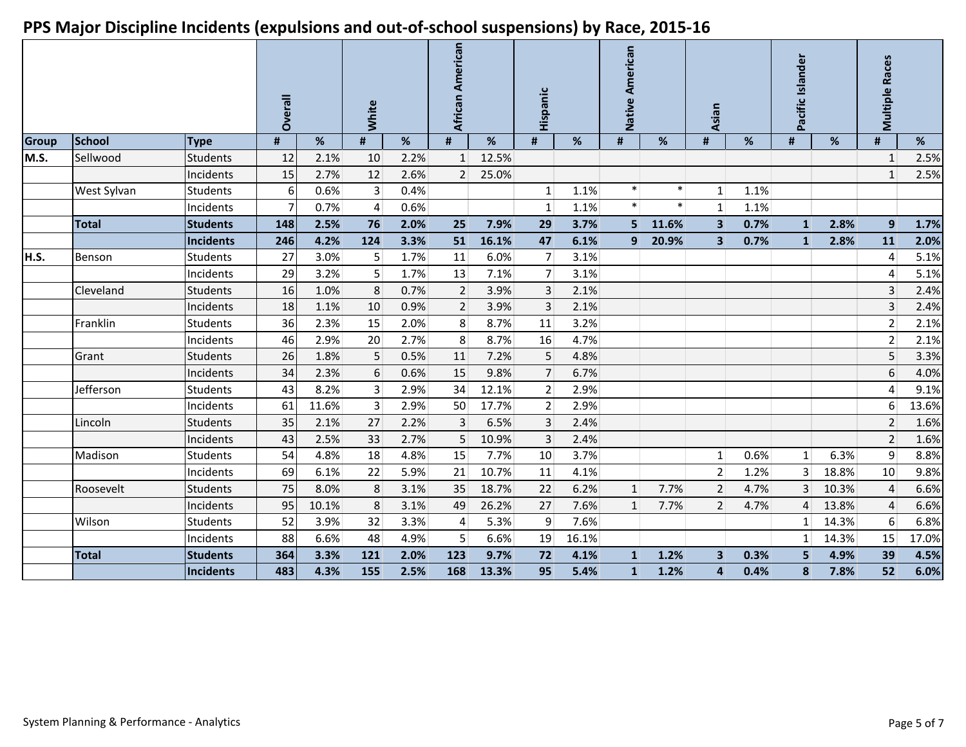|       |               |                 | <b>Overall</b> |       | <b>White</b><br>#<br>% |      | African American<br>#<br>% |       | Hispanic       |       | American<br>Native<br>#<br>% |        | Asian                   |      | Pacific Islander |       |                |       |
|-------|---------------|-----------------|----------------|-------|------------------------|------|----------------------------|-------|----------------|-------|------------------------------|--------|-------------------------|------|------------------|-------|----------------|-------|
| Group | <b>School</b> | <b>Type</b>     | #              | %     |                        |      |                            |       | #              | %     |                              |        | #                       | ℅    | #                | %     | #              | %     |
| M.S.  | Sellwood      | <b>Students</b> | 12             | 2.1%  | 10                     | 2.2% | $\mathbf{1}$               | 12.5% |                |       |                              |        |                         |      |                  |       | $\mathbf{1}$   | 2.5%  |
|       |               | Incidents       | 15             | 2.7%  | 12                     | 2.6% | $\overline{2}$             | 25.0% |                |       |                              |        |                         |      |                  |       | $\mathbf{1}$   | 2.5%  |
|       | West Sylvan   | <b>Students</b> | 6              | 0.6%  | $\overline{3}$         | 0.4% |                            |       | 1              | 1.1%  | $\ast$                       | $\ast$ | 1                       | 1.1% |                  |       |                |       |
|       |               | Incidents       |                | 0.7%  | $\overline{4}$         | 0.6% |                            |       | 1              | 1.1%  | $\ast$                       | $\ast$ | 1                       | 1.1% |                  |       |                |       |
|       | <b>Total</b>  | <b>Students</b> | 148            | 2.5%  | 76                     | 2.0% | 25                         | 7.9%  | 29             | 3.7%  | 5 <sup>1</sup>               | 11.6%  | $\overline{\mathbf{3}}$ | 0.7% | $\mathbf{1}$     | 2.8%  | 9              | 1.7%  |
|       |               | Incidents       | 246            | 4.2%  | 124                    | 3.3% | 51                         | 16.1% | 47             | 6.1%  | 9                            | 20.9%  | $\overline{\mathbf{3}}$ | 0.7% | $\mathbf{1}$     | 2.8%  | 11             | 2.0%  |
| H.S.  | Benson        | <b>Students</b> | 27             | 3.0%  | 5                      | 1.7% | 11                         | 6.0%  | $\overline{7}$ | 3.1%  |                              |        |                         |      |                  |       | 4              | 5.1%  |
|       |               | Incidents       | 29             | 3.2%  | 5 <sup>5</sup>         | 1.7% | 13                         | 7.1%  | $\overline{7}$ | 3.1%  |                              |        |                         |      |                  |       | 4              | 5.1%  |
|       | Cleveland     | <b>Students</b> | 16             | 1.0%  | 8                      | 0.7% | $\overline{2}$             | 3.9%  | 3              | 2.1%  |                              |        |                         |      |                  |       | 3              | 2.4%  |
|       |               | Incidents       | 18             | 1.1%  | 10                     | 0.9% | $\overline{2}$             | 3.9%  | 3              | 2.1%  |                              |        |                         |      |                  |       | $\overline{3}$ | 2.4%  |
|       | Franklin      | <b>Students</b> | 36             | 2.3%  | 15                     | 2.0% | 8                          | 8.7%  | 11             | 3.2%  |                              |        |                         |      |                  |       | $\overline{2}$ | 2.1%  |
|       |               | Incidents       | 46             | 2.9%  | 20                     | 2.7% | 8                          | 8.7%  | 16             | 4.7%  |                              |        |                         |      |                  |       | $\overline{2}$ | 2.1%  |
|       | Grant         | <b>Students</b> | 26             | 1.8%  | 5                      | 0.5% | 11                         | 7.2%  | 5              | 4.8%  |                              |        |                         |      |                  |       | 5              | 3.3%  |
|       |               | Incidents       | 34             | 2.3%  | 6                      | 0.6% | 15                         | 9.8%  | $\overline{7}$ | 6.7%  |                              |        |                         |      |                  |       | 6              | 4.0%  |
|       | Jefferson     | <b>Students</b> | 43             | 8.2%  | $\overline{3}$         | 2.9% | 34                         | 12.1% | $\overline{2}$ | 2.9%  |                              |        |                         |      |                  |       | 4              | 9.1%  |
|       |               | Incidents       | 61             | 11.6% | $\vert 3 \vert$        | 2.9% | 50                         | 17.7% | $\overline{2}$ | 2.9%  |                              |        |                         |      |                  |       | 6              | 13.6% |
|       | Lincoln       | <b>Students</b> | 35             | 2.1%  | 27                     | 2.2% | 3                          | 6.5%  | $\overline{3}$ | 2.4%  |                              |        |                         |      |                  |       | $\overline{2}$ | 1.6%  |
|       |               | Incidents       | 43             | 2.5%  | 33                     | 2.7% | 5                          | 10.9% | $\overline{3}$ | 2.4%  |                              |        |                         |      |                  |       | $\overline{2}$ | 1.6%  |
|       | Madison       | <b>Students</b> | 54             | 4.8%  | 18                     | 4.8% | 15                         | 7.7%  | 10             | 3.7%  |                              |        | $\mathbf{1}$            | 0.6% | $\mathbf{1}$     | 6.3%  | 9              | 8.8%  |
|       |               | Incidents       | 69             | 6.1%  | 22                     | 5.9% | 21                         | 10.7% | 11             | 4.1%  |                              |        | $\overline{2}$          | 1.2% | $\overline{3}$   | 18.8% | 10             | 9.8%  |
|       | Roosevelt     | Students        | 75             | 8.0%  | 8                      | 3.1% | 35                         | 18.7% | 22             | 6.2%  | $\mathbf{1}$                 | 7.7%   | $\overline{2}$          | 4.7% | 3                | 10.3% | $\overline{4}$ | 6.6%  |
|       |               | Incidents       | 95             | 10.1% | 8                      | 3.1% | 49                         | 26.2% | 27             | 7.6%  | $\mathbf{1}$                 | 7.7%   | $\overline{2}$          | 4.7% | 4                | 13.8% | $\overline{4}$ | 6.6%  |
|       | Wilson        | <b>Students</b> | 52             | 3.9%  | 32                     | 3.3% | 4                          | 5.3%  | 9              | 7.6%  |                              |        |                         |      | $1\vert$         | 14.3% | 6              | 6.8%  |
|       |               | Incidents       | 88             | 6.6%  | 48                     | 4.9% | 5                          | 6.6%  | 19             | 16.1% |                              |        |                         |      | 1                | 14.3% | 15             | 17.0% |
|       | <b>Total</b>  | <b>Students</b> | 364            | 3.3%  | 121                    | 2.0% | 123                        | 9.7%  | 72             | 4.1%  | $\mathbf{1}$                 | 1.2%   | 3                       | 0.3% | 5                | 4.9%  | 39             | 4.5%  |
|       |               | Incidents       | 483            | 4.3%  | 155                    | 2.5% | 168                        | 13.3% | 95             | 5.4%  | 1                            | 1.2%   | 4                       | 0.4% | 8                | 7.8%  | 52             | 6.0%  |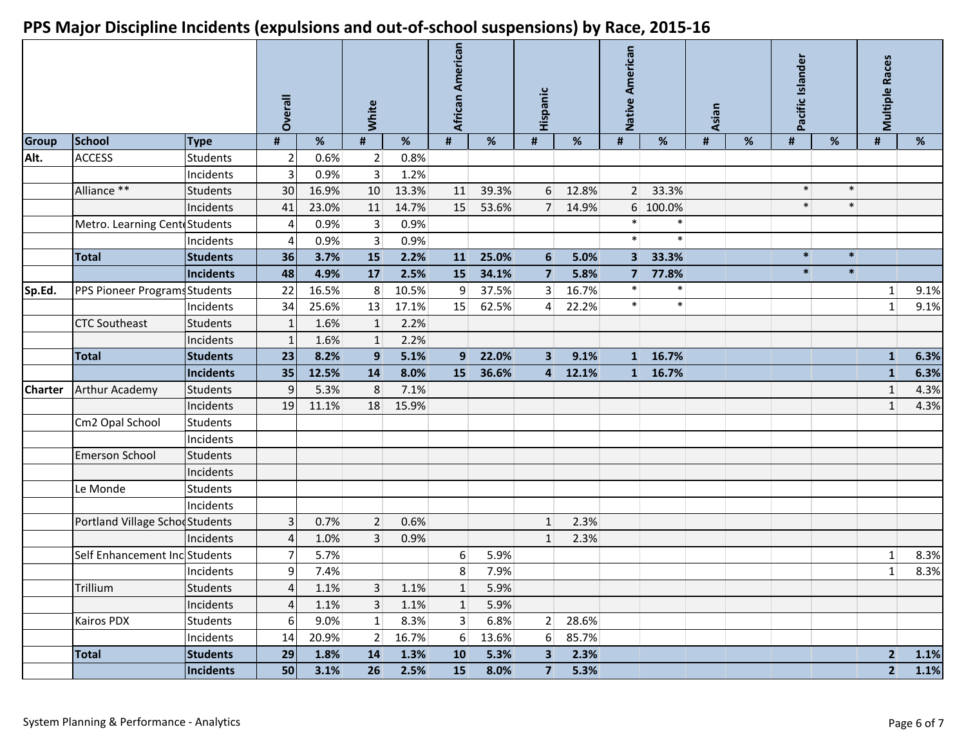|                |                                |                  | Overall<br>%   |       | White            |       | African American |       | Hispanic       |         | Native American |          | <b>Asian</b> |   | Pacific Islander |        | <b>Multiple Races</b> |      |
|----------------|--------------------------------|------------------|----------------|-------|------------------|-------|------------------|-------|----------------|---------|-----------------|----------|--------------|---|------------------|--------|-----------------------|------|
| <b>Group</b>   | School                         | <b>Type</b>      | #              |       | #                | $\%$  | $\pmb{\sharp}$   | %     | #              | %       | #               | %        | #            | % | #                | %      | #                     | %    |
| Alt.           | <b>ACCESS</b>                  | <b>Students</b>  |                | 0.6%  | 2                | 0.8%  |                  |       |                |         |                 |          |              |   |                  |        |                       |      |
|                |                                | Incidents        | 3              | 0.9%  | 3 <sup>1</sup>   | 1.2%  |                  |       |                |         |                 |          |              |   |                  |        |                       |      |
|                | Alliance **                    | <b>Students</b>  | 30             | 16.9% | 10               | 13.3% | 11               | 39.3% | 6              | 12.8%   | $\overline{2}$  | 33.3%    |              |   | $\ast$           | $\ast$ |                       |      |
|                |                                | Incidents        | 41             | 23.0% | 11               | 14.7% | 15               | 53.6% |                | 7 14.9% |                 | 6 100.0% |              |   | $\ast$           | $\ast$ |                       |      |
|                | Metro. Learning CenteStudents  |                  | Δ              | 0.9%  | $\vert$ 3        | 0.9%  |                  |       |                |         | $\ast$          | $\ast$   |              |   |                  |        |                       |      |
|                |                                | Incidents        | Δ              | 0.9%  | $\vert 3 \vert$  | 0.9%  |                  |       |                |         | $\ast$          | $\ast$   |              |   |                  |        |                       |      |
|                | <b>Total</b>                   | <b>Students</b>  | 36             | 3.7%  | 15               | 2.2%  | 11               | 25.0% | 6              | 5.0%    | 3               | 33.3%    |              |   | $\ast$           | $\ast$ |                       |      |
|                |                                | Incidents        | 48             | 4.9%  | 17               | 2.5%  | 15               | 34.1% | $\overline{7}$ | 5.8%    | $\overline{7}$  | 77.8%    |              |   | $\ast$           | $\ast$ |                       |      |
| Sp.Ed.         | PPS Pioneer Programs Students  |                  | 22             | 16.5% | 8                | 10.5% | 9                | 37.5% | 3              | 16.7%   | $\ast$          | $\ast$   |              |   |                  |        | $\mathbf{1}$          | 9.1% |
|                |                                | Incidents        | 34             | 25.6% | 13               | 17.1% | 15               | 62.5% | 4              | 22.2%   | $\ast$          | $\ast$   |              |   |                  |        | $1\,$                 | 9.1% |
|                | <b>CTC Southeast</b>           | <b>Students</b>  |                | 1.6%  | $\vert$ 1        | 2.2%  |                  |       |                |         |                 |          |              |   |                  |        |                       |      |
|                |                                | Incidents        |                | 1.6%  | 1                | 2.2%  |                  |       |                |         |                 |          |              |   |                  |        |                       |      |
|                | <b>Total</b>                   | <b>Students</b>  | 23             | 8.2%  | $\boldsymbol{9}$ | 5.1%  | 9                | 22.0% | $\overline{3}$ | 9.1%    | 1               | 16.7%    |              |   |                  |        | $\mathbf{1}$          | 6.3% |
|                |                                | Incidents        | 35             | 12.5% | 14               | 8.0%  | <b>15</b>        | 36.6% | $\overline{4}$ | 12.1%   | 1 <sup>1</sup>  | 16.7%    |              |   |                  |        | $\mathbf{1}$          | 6.3% |
| <b>Charter</b> | Arthur Academy                 | <b>Students</b>  | 9              | 5.3%  | 8                | 7.1%  |                  |       |                |         |                 |          |              |   |                  |        | $\mathbf{1}$          | 4.3% |
|                |                                | Incidents        | 19             | 11.1% | 18               | 15.9% |                  |       |                |         |                 |          |              |   |                  |        | $1\,$                 | 4.3% |
|                | Cm2 Opal School                | <b>Students</b>  |                |       |                  |       |                  |       |                |         |                 |          |              |   |                  |        |                       |      |
|                |                                | Incidents        |                |       |                  |       |                  |       |                |         |                 |          |              |   |                  |        |                       |      |
|                | Emerson School                 | <b>Students</b>  |                |       |                  |       |                  |       |                |         |                 |          |              |   |                  |        |                       |      |
|                |                                | Incidents        |                |       |                  |       |                  |       |                |         |                 |          |              |   |                  |        |                       |      |
|                | Le Monde                       | <b>Students</b>  |                |       |                  |       |                  |       |                |         |                 |          |              |   |                  |        |                       |      |
|                |                                | Incidents        |                |       |                  |       |                  |       |                |         |                 |          |              |   |                  |        |                       |      |
|                | Portland Village SchodStudents |                  |                | 0.7%  | 2 <sup>1</sup>   | 0.6%  |                  |       | $\mathbf{1}$   | 2.3%    |                 |          |              |   |                  |        |                       |      |
|                |                                | Incidents        |                | 1.0%  | 3 <sup>1</sup>   | 0.9%  |                  |       | $\mathbf{1}$   | 2.3%    |                 |          |              |   |                  |        |                       |      |
|                | Self Enhancement Inc Students  |                  |                | 5.7%  |                  |       | 6                | 5.9%  |                |         |                 |          |              |   |                  |        | $\vert 1 \vert$       | 8.3% |
|                |                                | Incidents        |                | 7.4%  |                  |       | 8                | 7.9%  |                |         |                 |          |              |   |                  |        | $\mathbf 1$           | 8.3% |
|                | Trillium                       | <b>Students</b>  | $\overline{4}$ | 1.1%  | 3                | 1.1%  | $\mathbf{1}$     | 5.9%  |                |         |                 |          |              |   |                  |        |                       |      |
|                |                                | Incidents        | 4              | 1.1%  | 3 <sup>1</sup>   | 1.1%  | $\mathbf{1}$     | 5.9%  |                |         |                 |          |              |   |                  |        |                       |      |
|                | Kairos PDX                     | <b>Students</b>  | 6              | 9.0%  | 1                | 8.3%  | $\vert$ 3        | 6.8%  | 2 <sup>1</sup> | 28.6%   |                 |          |              |   |                  |        |                       |      |
|                |                                | Incidents        | 14             | 20.9% | $\overline{2}$   | 16.7% | 6                | 13.6% | 6              | 85.7%   |                 |          |              |   |                  |        |                       |      |
|                | <b>Total</b>                   | <b>Students</b>  | 29             | 1.8%  | 14               | 1.3%  | <b>10</b>        | 5.3%  | $\mathbf{3}$   | 2.3%    |                 |          |              |   |                  |        | $\overline{2}$        | 1.1% |
|                |                                | <b>Incidents</b> | 50             | 3.1%  | 26               | 2.5%  | <b>15</b>        | 8.0%  | 7 <sup>1</sup> | 5.3%    |                 |          |              |   |                  |        | 2                     | 1.1% |